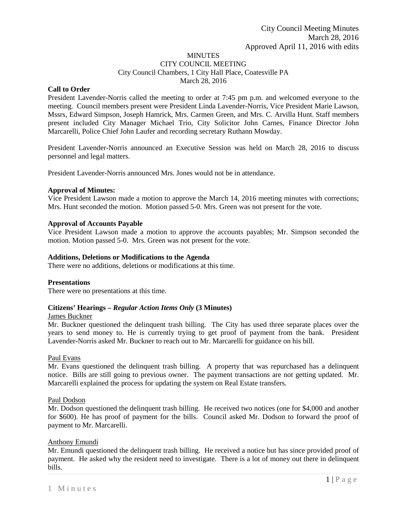#### **MINUTES** CITY COUNCIL MEETING

City Council Chambers, 1 City Hall Place, Coatesville PA

March 28, 2016

# **Call to Order**

President Lavender-Norris called the meeting to order at 7:45 pm p.m. and welcomed everyone to the meeting. Council members present were President Linda Lavender-Norris, Vice President Marie Lawson, Mssrs, Edward Simpson, Joseph Hamrick, Mrs. Carmen Green, and Mrs. C. Arvilla Hunt. Staff members present included City Manager Michael Trio, City Solicitor John Carnes, Finance Director John Marcarelli, Police Chief John Laufer and recording secretary Ruthann Mowday.

President Lavender-Norris announced an Executive Session was held on March 28, 2016 to discuss personnel and legal matters.

President Lavender-Norris announced Mrs. Jones would not be in attendance.

# **Approval of Minutes:**

Vice President Lawson made a motion to approve the March 14, 2016 meeting minutes with corrections; Mrs. Hunt seconded the motion. Motion passed 5-0. Mrs. Green was not present for the vote.

# **Approval of Accounts Payable**

Vice President Lawson made a motion to approve the accounts payables; Mr. Simpson seconded the motion. Motion passed 5-0. Mrs. Green was not present for the vote.

# **Additions, Deletions or Modifications to the Agenda**

There were no additions, deletions or modifications at this time.

## **Presentations**

There were no presentations at this time.

# **Citizens' Hearings –** *Regular Action Items Only* **(3 Minutes)**

# James Buckner

Mr. Buckner questioned the delinquent trash billing. The City has used three separate places over the years to send money to. He is currently trying to get proof of payment from the bank. President Lavender-Norris asked Mr. Buckner to reach out to Mr. Marcarelli for guidance on his bill.

## Paul Evans

Mr. Evans questioned the delinquent trash billing. A property that was repurchased has a delinquent notice. Bills are still going to previous owner. The payment transactions are not getting updated. Mr. Marcarelli explained the process for updating the system on Real Estate transfers.

## Paul Dodson

Mr. Dodson questioned the delinquent trash billing. He received two notices (one for \$4,000 and another for \$600). He has proof of payment for the bills. Council asked Mr. Dodson to forward the proof of payment to Mr. Marcarelli.

## Anthony Emundi

Mr. Emundi questioned the delinquent trash billing. He received a notice but has since provided proof of payment. He asked why the resident need to investigate. There is a lot of money out there in delinquent bills.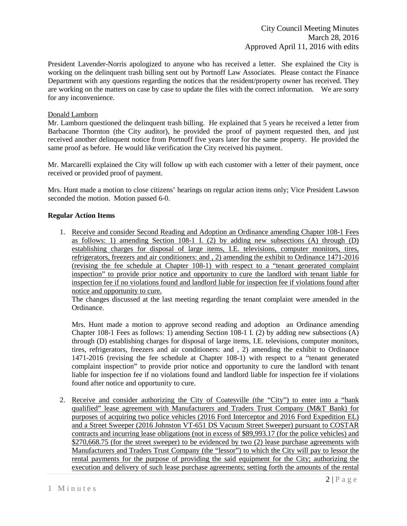President Lavender-Norris apologized to anyone who has received a letter. She explained the City is working on the delinquent trash billing sent out by Portnoff Law Associates. Please contact the Finance Department with any questions regarding the notices that the resident/property owner has received. They are working on the matters on case by case to update the files with the correct information. We are sorry for any inconvenience.

## Donald Lamborn

Mr. Lamborn questioned the delinquent trash billing. He explained that 5 years he received a letter from Barbacane Thornton (the City auditor), he provided the proof of payment requested then, and just received another delinquent notice from Portnoff five years later for the same property. He provided the same proof as before. He would like verification the City received his payment.

Mr. Marcarelli explained the City will follow up with each customer with a letter of their payment, once received or provided proof of payment.

Mrs. Hunt made a motion to close citizens' hearings on regular action items only; Vice President Lawson seconded the motion. Motion passed 6-0.

## **Regular Action Items**

1. Receive and consider Second Reading and Adoption an Ordinance amending Chapter 108-1 Fees as follows: 1) amending Section 108-1 I. (2) by adding new subsections (A) through (D) establishing charges for disposal of large items, I.E. televisions, computer monitors, tires, refrigerators, freezers and air conditioners: and , 2) amending the exhibit to Ordinance 1471-2016 (revising the fee schedule at Chapter 108-1) with respect to a "tenant generated complaint inspection" to provide prior notice and opportunity to cure the landlord with tenant liable for inspection fee if no violations found and landlord liable for inspection fee if violations found after notice and opportunity to cure.

The changes discussed at the last meeting regarding the tenant complaint were amended in the Ordinance.

Mrs. Hunt made a motion to approve second reading and adoption an Ordinance amending Chapter 108-1 Fees as follows: 1) amending Section 108-1 I. (2) by adding new subsections (A) through (D) establishing charges for disposal of large items, I.E. televisions, computer monitors, tires, refrigerators, freezers and air conditioners: and , 2) amending the exhibit to Ordinance 1471-2016 (revising the fee schedule at Chapter 108-1) with respect to a "tenant generated complaint inspection" to provide prior notice and opportunity to cure the landlord with tenant liable for inspection fee if no violations found and landlord liable for inspection fee if violations found after notice and opportunity to cure.

2. Receive and consider authorizing the City of Coatesville (the "City") to enter into a "bank qualified" lease agreement with Manufacturers and Traders Trust Company (M&T Bank) for purposes of acquiring two police vehicles (2016 Ford Interceptor and 2016 Ford Expedition EL) and a Street Sweeper (2016 Johnston VT-651 DS Vacuum Street Sweeper) pursuant to COSTAR contracts and incurring lease obligations (not in excess of \$89,993.17 (for the police vehicles) and \$270,668.75 (for the street sweeper) to be evidenced by two (2) lease purchase agreements with Manufacturers and Traders Trust Company (the "lessor") to which the City will pay to lessor the rental payments for the purpose of providing the said equipment for the City; authorizing the execution and delivery of such lease purchase agreements; setting forth the amounts of the rental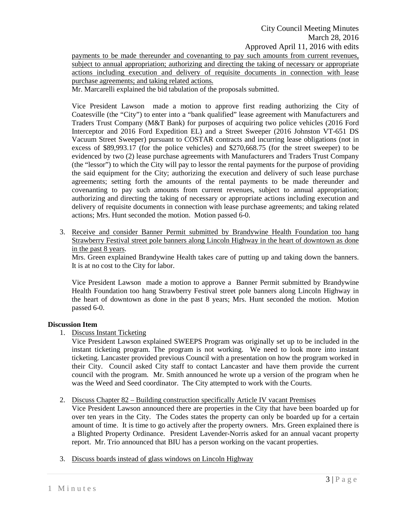payments to be made thereunder and covenanting to pay such amounts from current revenues, subject to annual appropriation; authorizing and directing the taking of necessary or appropriate actions including execution and delivery of requisite documents in connection with lease purchase agreements; and taking related actions.

Mr. Marcarelli explained the bid tabulation of the proposals submitted.

Vice President Lawson made a motion to approve first reading authorizing the City of Coatesville (the "City") to enter into a "bank qualified" lease agreement with Manufacturers and Traders Trust Company (M&T Bank) for purposes of acquiring two police vehicles (2016 Ford Interceptor and 2016 Ford Expedition EL) and a Street Sweeper (2016 Johnston VT-651 DS Vacuum Street Sweeper) pursuant to COSTAR contracts and incurring lease obligations (not in excess of \$89,993.17 (for the police vehicles) and \$270,668.75 (for the street sweeper) to be evidenced by two (2) lease purchase agreements with Manufacturers and Traders Trust Company (the "lessor") to which the City will pay to lessor the rental payments for the purpose of providing the said equipment for the City; authorizing the execution and delivery of such lease purchase agreements; setting forth the amounts of the rental payments to be made thereunder and covenanting to pay such amounts from current revenues, subject to annual appropriation; authorizing and directing the taking of necessary or appropriate actions including execution and delivery of requisite documents in connection with lease purchase agreements; and taking related actions; Mrs. Hunt seconded the motion. Motion passed 6-0.

3. Receive and consider Banner Permit submitted by Brandywine Health Foundation too hang Strawberry Festival street pole banners along Lincoln Highway in the heart of downtown as done in the past 8 years.

Mrs. Green explained Brandywine Health takes care of putting up and taking down the banners. It is at no cost to the City for labor.

Vice President Lawson made a motion to approve a Banner Permit submitted by Brandywine Health Foundation too hang Strawberry Festival street pole banners along Lincoln Highway in the heart of downtown as done in the past 8 years; Mrs. Hunt seconded the motion. Motion passed 6-0.

## **Discussion Item**

1. Discuss Instant Ticketing

Vice President Lawson explained SWEEPS Program was originally set up to be included in the instant ticketing program. The program is not working. We need to look more into instant ticketing. Lancaster provided previous Council with a presentation on how the program worked in their City. Council asked City staff to contact Lancaster and have them provide the current council with the program. Mr. Smith announced he wrote up a version of the program when he was the Weed and Seed coordinator. The City attempted to work with the Courts.

## 2. Discuss Chapter 82 – Building construction specifically Article IV vacant Premises

Vice President Lawson announced there are properties in the City that have been boarded up for over ten years in the City. The Codes states the property can only be boarded up for a certain amount of time. It is time to go actively after the property owners. Mrs. Green explained there is a Blighted Property Ordinance. President Lavender-Norris asked for an annual vacant property report. Mr. Trio announced that BIU has a person working on the vacant properties.

3. Discuss boards instead of glass windows on Lincoln Highway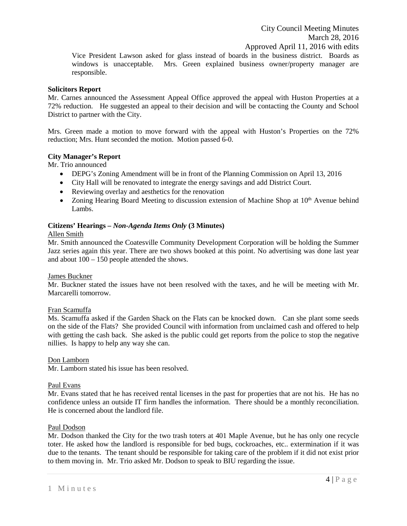Vice President Lawson asked for glass instead of boards in the business district. Boards as windows is unacceptable. Mrs. Green explained business owner/property manager are responsible.

## **Solicitors Report**

Mr. Carnes announced the Assessment Appeal Office approved the appeal with Huston Properties at a 72% reduction. He suggested an appeal to their decision and will be contacting the County and School District to partner with the City.

Mrs. Green made a motion to move forward with the appeal with Huston's Properties on the 72% reduction; Mrs. Hunt seconded the motion. Motion passed 6-0.

## **City Manager's Report**

Mr. Trio announced

- DEPG's Zoning Amendment will be in front of the Planning Commission on April 13, 2016
- City Hall will be renovated to integrate the energy savings and add District Court.
- Reviewing overlay and aesthetics for the renovation
- Zoning Hearing Board Meeting to discussion extension of Machine Shop at  $10<sup>th</sup>$  Avenue behind Lambs.

#### **Citizens' Hearings –** *Non-Agenda Items Only* **(3 Minutes)**

#### Allen Smith

Mr. Smith announced the Coatesville Community Development Corporation will be holding the Summer Jazz series again this year. There are two shows booked at this point. No advertising was done last year and about 100 – 150 people attended the shows.

#### James Buckner

Mr. Buckner stated the issues have not been resolved with the taxes, and he will be meeting with Mr. Marcarelli tomorrow.

#### Fran Scamuffa

Ms. Scamuffa asked if the Garden Shack on the Flats can be knocked down. Can she plant some seeds on the side of the Flats? She provided Council with information from unclaimed cash and offered to help with getting the cash back. She asked is the public could get reports from the police to stop the negative nillies. Is happy to help any way she can.

#### Don Lamborn

Mr. Lamborn stated his issue has been resolved.

#### Paul Evans

Mr. Evans stated that he has received rental licenses in the past for properties that are not his. He has no confidence unless an outside IT firm handles the information. There should be a monthly reconciliation. He is concerned about the landlord file.

#### Paul Dodson

Mr. Dodson thanked the City for the two trash toters at 401 Maple Avenue, but he has only one recycle toter. He asked how the landlord is responsible for bed bugs, cockroaches, etc.. extermination if it was due to the tenants. The tenant should be responsible for taking care of the problem if it did not exist prior to them moving in. Mr. Trio asked Mr. Dodson to speak to BIU regarding the issue.